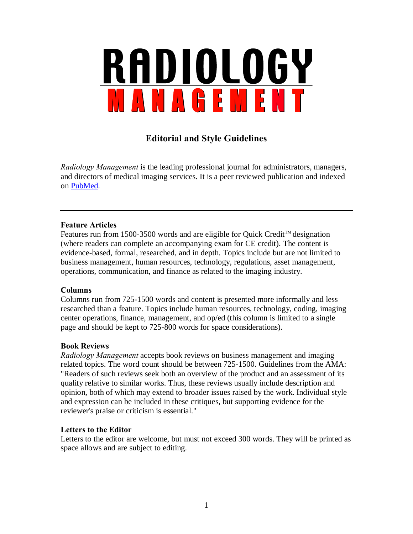

# **Editorial and Style Guidelines**

*Radiology Management* is the leading professional journal for administrators, managers, and directors of medical imaging services. It is a peer reviewed publication and indexed on [PubMed.](http://www.ncbi.nlm.nih.gov/sites/entrez?db=pubmed)

## **Feature Articles**

Features run from 1500-3500 words and are eligible for Quick Credit™ designation (where readers can complete an accompanying exam for CE credit). The content is evidence-based, formal, researched, and in depth. Topics include but are not limited to business management, human resources, technology, regulations, asset management, operations, communication, and finance as related to the imaging industry.

#### **Columns**

Columns run from 725-1500 words and content is presented more informally and less researched than a feature. Topics include human resources, technology, coding, imaging center operations, finance, management, and op/ed (this column is limited to a single page and should be kept to 725-800 words for space considerations).

#### **Book Reviews**

*Radiology Management* accepts book reviews on business management and imaging related topics. The word count should be between 725-1500. Guidelines from the AMA: "Readers of such reviews seek both an overview of the product and an assessment of its quality relative to similar works. Thus, these reviews usually include description and opinion, both of which may extend to broader issues raised by the work. Individual style and expression can be included in these critiques, but supporting evidence for the reviewer's praise or criticism is essential."

## **Letters to the Editor**

Letters to the editor are welcome, but must not exceed 300 words. They will be printed as space allows and are subject to editing.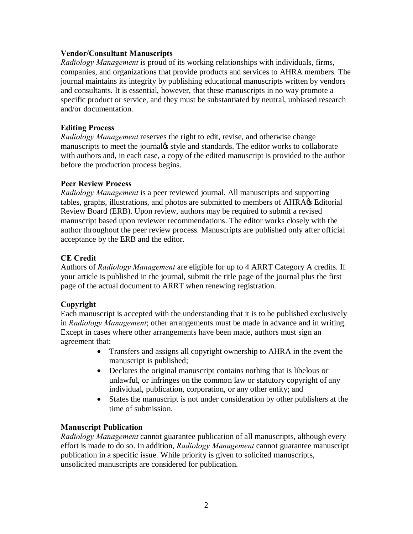#### **Vendor/Consultant Manuscripts**

*Radiology Management* is proud of its working relationships with individuals, firms, companies, and organizations that provide products and services to AHRA members. The journal maintains its integrity by publishing educational manuscripts written by vendors and consultants. It is essential, however, that these manuscripts in no way promote a specific product or service, and they must be substantiated by neutral, unbiased research and/or documentation.

## **Editing Process**

*Radiology Management* reserves the right to edit, revise, and otherwise change manuscripts to meet the journal<sub>f</sub> style and standards. The editor works to collaborate with authors and, in each case, a copy of the edited manuscript is provided to the author before the production process begins.

## **Peer Review Process**

*Radiology Management* is a peer reviewed journal. All manuscripts and supporting tables, graphs, illustrations, and photos are submitted to members of AHRA $\alpha$ s Editorial Review Board (ERB). Upon review, authors may be required to submit a revised manuscript based upon reviewer recommendations. The editor works closely with the author throughout the peer review process. Manuscripts are published only after official acceptance by the ERB and the editor.

## **CE Credit**

Authors of *Radiology Management* are eligible for up to 4 ARRT Category A credits. If your article is published in the journal, submit the title page of the journal plus the first page of the actual document to ARRT when renewing registration.

## **Copyright**

Each manuscript is accepted with the understanding that it is to be published exclusively in *Radiology Management*; other arrangements must be made in advance and in writing. Except in cases where other arrangements have been made, authors must sign an agreement that:

- · Transfers and assigns all copyright ownership to AHRA in the event the manuscript is published;
- · Declares the original manuscript contains nothing that is libelous or unlawful, or infringes on the common law or statutory copyright of any individual, publication, corporation, or any other entity; and
- · States the manuscript is not under consideration by other publishers at the time of submission.

#### **Manuscript Publication**

*Radiology Management* cannot guarantee publication of all manuscripts, although every effort is made to do so. In addition, *Radiology Management* cannot guarantee manuscript publication in a specific issue. While priority is given to solicited manuscripts, unsolicited manuscripts are considered for publication.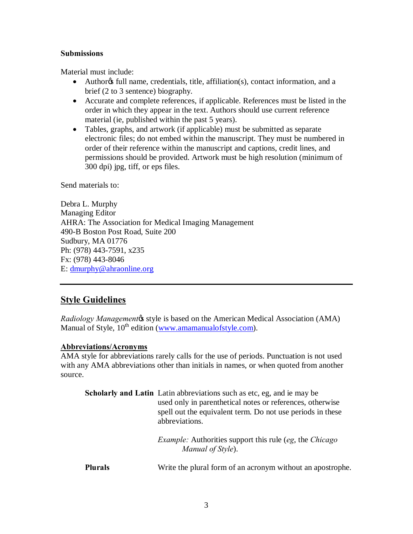#### **Submissions**

Material must include:

- Authorgs full name, credentials, title, affiliation(s), contact information, and a brief (2 to 3 sentence) biography.
- · Accurate and complete references, if applicable. References must be listed in the order in which they appear in the text. Authors should use current reference material (ie, published within the past 5 years).
- Tables, graphs, and artwork (if applicable) must be submitted as separate electronic files; do not embed within the manuscript. They must be numbered in order of their reference within the manuscript and captions, credit lines, and permissions should be provided. Artwork must be high resolution (minimum of 300 dpi) jpg, tiff, or eps files.

Send materials to:

Debra L. Murphy Managing Editor AHRA: The Association for Medical Imaging Management 490-B Boston Post Road, Suite 200 Sudbury, MA 01776 Ph: (978) 443-7591, x235 Fx: (978) 443-8046 E: [dmurphy@ahraonline.org](mailto:dmurphy@ahraonline.org)

## **Style Guidelines**

*Radiology Management* as tyle is based on the American Medical Association (AMA) Manual of Style,  $10^{th}$  edition ([www.amamanualofstyle.com\)](http://www.amamanualofstyle.com/).

#### **Abbreviations/Acronyms**

AMA style for abbreviations rarely calls for the use of periods. Punctuation is not used with any AMA abbreviations other than initials in names, or when quoted from another source.

|                | <b>Scholarly and Latin</b> Latin abbreviations such as etc, eg, and ie may be<br>used only in parenthetical notes or references, otherwise<br>spell out the equivalent term. Do not use periods in these<br>abbreviations. |  |  |  |
|----------------|----------------------------------------------------------------------------------------------------------------------------------------------------------------------------------------------------------------------------|--|--|--|
|                | <i>Example:</i> Authorities support this rule (eg, the <i>Chicago</i> )<br>Manual of Style).                                                                                                                               |  |  |  |
| <b>Plurals</b> | Write the plural form of an acronym without an apostrophe.                                                                                                                                                                 |  |  |  |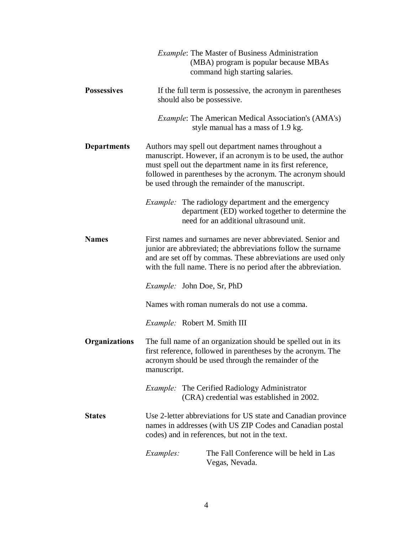|                      | <i>Example:</i> The Master of Business Administration<br>(MBA) program is popular because MBAs<br>command high starting salaries.                                                                                                                                                                   |  |  |  |
|----------------------|-----------------------------------------------------------------------------------------------------------------------------------------------------------------------------------------------------------------------------------------------------------------------------------------------------|--|--|--|
| <b>Possessives</b>   | If the full term is possessive, the acronym in parentheses<br>should also be possessive.                                                                                                                                                                                                            |  |  |  |
|                      | <i>Example:</i> The American Medical Association's (AMA's)<br>style manual has a mass of 1.9 kg.                                                                                                                                                                                                    |  |  |  |
| <b>Departments</b>   | Authors may spell out department names throughout a<br>manuscript. However, if an acronym is to be used, the author<br>must spell out the department name in its first reference,<br>followed in parentheses by the acronym. The acronym should<br>be used through the remainder of the manuscript. |  |  |  |
|                      | <i>Example:</i> The radiology department and the emergency<br>department (ED) worked together to determine the<br>need for an additional ultrasound unit.                                                                                                                                           |  |  |  |
| <b>Names</b>         | First names and surnames are never abbreviated. Senior and<br>junior are abbreviated; the abbreviations follow the surname<br>and are set off by commas. These abbreviations are used only<br>with the full name. There is no period after the abbreviation.                                        |  |  |  |
|                      | <i>Example:</i> John Doe, Sr, PhD                                                                                                                                                                                                                                                                   |  |  |  |
|                      | Names with roman numerals do not use a comma.                                                                                                                                                                                                                                                       |  |  |  |
|                      | <i>Example:</i> Robert M. Smith III                                                                                                                                                                                                                                                                 |  |  |  |
| <b>Organizations</b> | The full name of an organization should be spelled out in its<br>first reference, followed in parentheses by the acronym. The<br>acronym should be used through the remainder of the<br>manuscript.                                                                                                 |  |  |  |
|                      | Example: The Cerified Radiology Administrator<br>(CRA) credential was established in 2002.                                                                                                                                                                                                          |  |  |  |
| <b>States</b>        | Use 2-letter abbreviations for US state and Canadian province<br>names in addresses (with US ZIP Codes and Canadian postal<br>codes) and in references, but not in the text.                                                                                                                        |  |  |  |
|                      | Examples:<br>The Fall Conference will be held in Las<br>Vegas, Nevada.                                                                                                                                                                                                                              |  |  |  |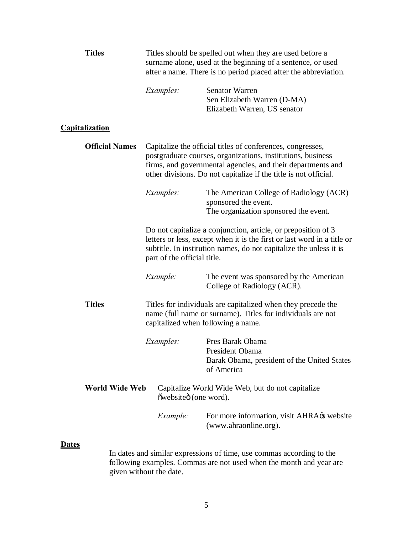|                | <b>Titles</b>                                                                                                                                                                                                                                 | Titles should be spelled out when they are used before a<br>surname alone, used at the beginning of a sentence, or used<br>after a name. There is no period placed after the abbreviation.                                                                   |                                                                                                                                                                   |  |
|----------------|-----------------------------------------------------------------------------------------------------------------------------------------------------------------------------------------------------------------------------------------------|--------------------------------------------------------------------------------------------------------------------------------------------------------------------------------------------------------------------------------------------------------------|-------------------------------------------------------------------------------------------------------------------------------------------------------------------|--|
|                |                                                                                                                                                                                                                                               | Examples:                                                                                                                                                                                                                                                    | <b>Senator Warren</b><br>Sen Elizabeth Warren (D-MA)<br>Elizabeth Warren, US senator                                                                              |  |
|                | <u>Capitalization</u>                                                                                                                                                                                                                         |                                                                                                                                                                                                                                                              |                                                                                                                                                                   |  |
|                | <b>Official Names</b>                                                                                                                                                                                                                         | Capitalize the official titles of conferences, congresses,<br>postgraduate courses, organizations, institutions, business<br>firms, and governmental agencies, and their departments and<br>other divisions. Do not capitalize if the title is not official. |                                                                                                                                                                   |  |
|                | Examples:<br>The American College of Radiology (ACR)<br>sponsored the event.<br>The organization sponsored the event.                                                                                                                         |                                                                                                                                                                                                                                                              |                                                                                                                                                                   |  |
|                | Do not capitalize a conjunction, article, or preposition of 3<br>letters or less, except when it is the first or last word in a title or<br>subtitle. In institution names, do not capitalize the unless it is<br>part of the official title. |                                                                                                                                                                                                                                                              |                                                                                                                                                                   |  |
|                |                                                                                                                                                                                                                                               | Example:                                                                                                                                                                                                                                                     | The event was sponsored by the American<br>College of Radiology (ACR).                                                                                            |  |
|                | <b>Titles</b>                                                                                                                                                                                                                                 |                                                                                                                                                                                                                                                              | Titles for individuals are capitalized when they precede the<br>name (full name or surname). Titles for individuals are not<br>capitalized when following a name. |  |
|                |                                                                                                                                                                                                                                               | <i>Examples:</i>                                                                                                                                                                                                                                             | Pres Barak Obama<br>President Obama<br>Barak Obama, president of the United States<br>of America                                                                  |  |
| World Wide Web |                                                                                                                                                                                                                                               | Capitalize World Wide Web, but do not capitalize<br>õwebsiteö (one word).                                                                                                                                                                                    |                                                                                                                                                                   |  |
|                |                                                                                                                                                                                                                                               | Example:                                                                                                                                                                                                                                                     | For more information, visit AHRA $\alpha$ s website<br>(www.ahraonline.org).                                                                                      |  |
| <b>Dates</b>   |                                                                                                                                                                                                                                               |                                                                                                                                                                                                                                                              | In dates and similar expressions of time, use commas according to the                                                                                             |  |

following examples. Commas are not used when the month and year are given without the date.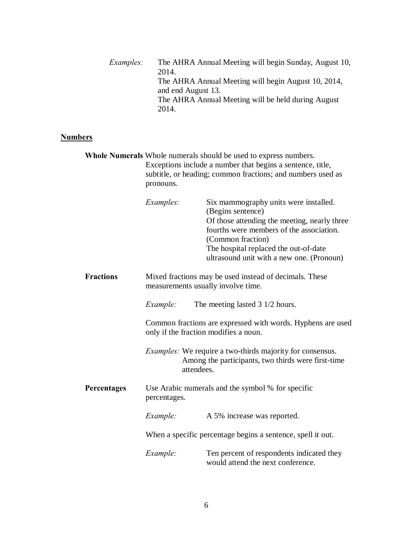| <i>Examples:</i> | The AHRA Annual Meeting will begin Sunday, August 10, |
|------------------|-------------------------------------------------------|
|                  | 2014.                                                 |
|                  | The AHRA Annual Meeting will begin August 10, 2014,   |
|                  | and end August 13.                                    |
|                  | The AHRA Annual Meeting will be held during August    |
|                  | 2014.                                                 |
|                  |                                                       |

## **Numbers**

|                  | Whole Numerals Whole numerals should be used to express numbers.<br>Exceptions include a number that begins a sentence, title,<br>subtitle, or heading; common fractions; and numbers used as<br>pronouns. |                                                                                                                        |                                                                                                                                                                                                                                                                   |
|------------------|------------------------------------------------------------------------------------------------------------------------------------------------------------------------------------------------------------|------------------------------------------------------------------------------------------------------------------------|-------------------------------------------------------------------------------------------------------------------------------------------------------------------------------------------------------------------------------------------------------------------|
|                  | <i>Examples:</i>                                                                                                                                                                                           |                                                                                                                        | Six mammography units were installed.<br>(Begins sentence)<br>Of those attending the meeting, nearly three<br>fourths were members of the association.<br>(Common fraction)<br>The hospital replaced the out-of-date<br>ultrasound unit with a new one. (Pronoun) |
| <b>Fractions</b> | Mixed fractions may be used instead of decimals. These<br>measurements usually involve time.                                                                                                               |                                                                                                                        |                                                                                                                                                                                                                                                                   |
|                  | Example:                                                                                                                                                                                                   |                                                                                                                        | The meeting lasted $3 \frac{1}{2}$ hours.                                                                                                                                                                                                                         |
|                  |                                                                                                                                                                                                            | Common fractions are expressed with words. Hyphens are used<br>only if the fraction modifies a noun.                   |                                                                                                                                                                                                                                                                   |
| attendees.       |                                                                                                                                                                                                            | <i>Examples:</i> We require a two-thirds majority for consensus.<br>Among the participants, two thirds were first-time |                                                                                                                                                                                                                                                                   |
| Percentages      | Use Arabic numerals and the symbol % for specific<br>percentages.                                                                                                                                          |                                                                                                                        |                                                                                                                                                                                                                                                                   |
|                  | Example:                                                                                                                                                                                                   |                                                                                                                        | A 5% increase was reported.                                                                                                                                                                                                                                       |
|                  | When a specific percentage begins a sentence, spell it out.                                                                                                                                                |                                                                                                                        |                                                                                                                                                                                                                                                                   |
|                  | Example:                                                                                                                                                                                                   |                                                                                                                        | Ten percent of respondents indicated they<br>would attend the next conference.                                                                                                                                                                                    |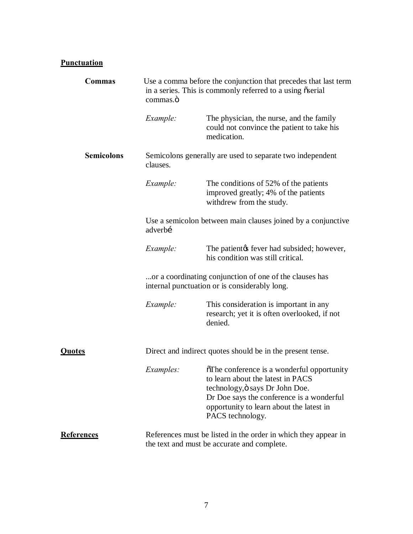## **Punctuation**

| Commas            | Use a comma before the conjunction that precedes that last term<br>in a series. This is commonly referred to a using oserial<br>commas.ö |                                                                                                                                                                                                                                |  |
|-------------------|------------------------------------------------------------------------------------------------------------------------------------------|--------------------------------------------------------------------------------------------------------------------------------------------------------------------------------------------------------------------------------|--|
|                   | Example:                                                                                                                                 | The physician, the nurse, and the family<br>could not convince the patient to take his<br>medication.                                                                                                                          |  |
| <b>Semicolons</b> | Semicolons generally are used to separate two independent<br>clauses.                                                                    |                                                                                                                                                                                                                                |  |
|                   | Example:                                                                                                                                 | The conditions of 52% of the patients<br>improved greatly; 4% of the patients<br>withdrew from the study.                                                                                                                      |  |
|                   | Use a semicolon between main clauses joined by a conjunctive<br>adverbí                                                                  |                                                                                                                                                                                                                                |  |
|                   | Example:                                                                                                                                 | The patient the sever had subsided; however,<br>his condition was still critical.                                                                                                                                              |  |
|                   | or a coordinating conjunction of one of the clauses has<br>internal punctuation or is considerably long.                                 |                                                                                                                                                                                                                                |  |
|                   | Example:                                                                                                                                 | This consideration is important in any<br>research; yet it is often overlooked, if not<br>denied.                                                                                                                              |  |
| <u>Quotes</u>     | Direct and indirect quotes should be in the present tense.                                                                               |                                                                                                                                                                                                                                |  |
|                   | <i>Examples:</i>                                                                                                                         | The conference is a wonderful opportunity<br>to learn about the latest in PACS<br>technology, ö says Dr John Doe.<br>Dr Doe says the conference is a wonderful<br>opportunity to learn about the latest in<br>PACS technology. |  |
| <b>References</b> | References must be listed in the order in which they appear in<br>the text and must be accurate and complete.                            |                                                                                                                                                                                                                                |  |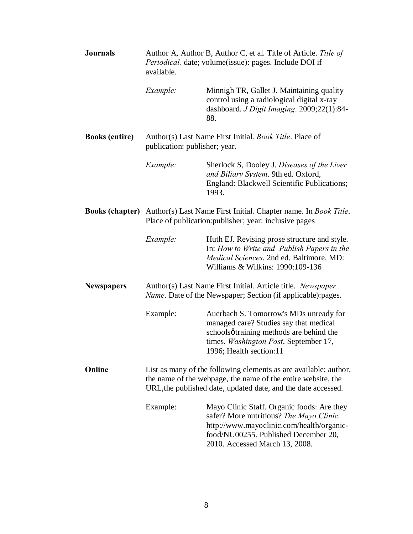| <b>Journals</b>       | Author A, Author B, Author C, et al. Title of Article. Title of<br>Periodical. date; volume(issue): pages. Include DOI if<br>available.                                                           |                                                                                                                                                                                                               |
|-----------------------|---------------------------------------------------------------------------------------------------------------------------------------------------------------------------------------------------|---------------------------------------------------------------------------------------------------------------------------------------------------------------------------------------------------------------|
|                       | Example:                                                                                                                                                                                          | Minnigh TR, Gallet J. Maintaining quality<br>control using a radiological digital x-ray<br>dashboard. J Digit Imaging. 2009;22(1):84-<br>88.                                                                  |
| <b>Books (entire)</b> | Author(s) Last Name First Initial. <i>Book Title</i> . Place of<br>publication: publisher; year.                                                                                                  |                                                                                                                                                                                                               |
|                       | Example:                                                                                                                                                                                          | Sherlock S, Dooley J. Diseases of the Liver<br>and Biliary System. 9th ed. Oxford,<br>England: Blackwell Scientific Publications;<br>1993.                                                                    |
|                       | <b>Books (chapter)</b> Author(s) Last Name First Initial. Chapter name. In <i>Book Title</i> .<br>Place of publication: publisher; year: inclusive pages                                          |                                                                                                                                                                                                               |
|                       | Example:                                                                                                                                                                                          | Huth EJ. Revising prose structure and style.<br>In: How to Write and Publish Papers in the<br>Medical Sciences. 2nd ed. Baltimore, MD:<br>Williams & Wilkins: 1990:109-136                                    |
| <b>Newspapers</b>     | Author(s) Last Name First Initial. Article title. Newspaper<br>Name. Date of the Newspaper; Section (if applicable):pages.                                                                        |                                                                                                                                                                                                               |
|                       | Example:                                                                                                                                                                                          | Auerbach S. Tomorrow's MDs unready for<br>managed care? Studies say that medical<br>schoolsøtraining methods are behind the<br>times. Washington Post. September 17,<br>1996; Health section:11               |
| Online                | List as many of the following elements as are available: author,<br>the name of the webpage, the name of the entire website, the<br>URL, the published date, updated date, and the date accessed. |                                                                                                                                                                                                               |
|                       | Example:                                                                                                                                                                                          | Mayo Clinic Staff. Organic foods: Are they<br>safer? More nutritious? The Mayo Clinic.<br>http://www.mayoclinic.com/health/organic-<br>food/NU00255. Published December 20,<br>2010. Accessed March 13, 2008. |